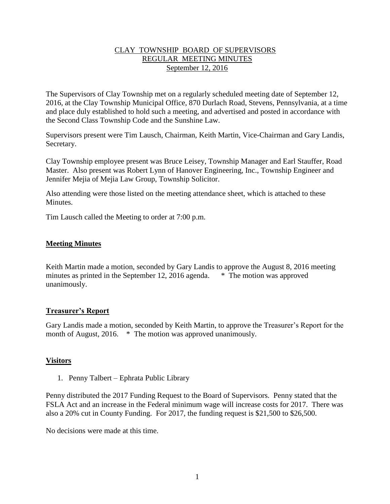# CLAY TOWNSHIP BOARD OF SUPERVISORS REGULAR MEETING MINUTES September 12, 2016

The Supervisors of Clay Township met on a regularly scheduled meeting date of September 12, 2016, at the Clay Township Municipal Office, 870 Durlach Road, Stevens, Pennsylvania, at a time and place duly established to hold such a meeting, and advertised and posted in accordance with the Second Class Township Code and the Sunshine Law.

Supervisors present were Tim Lausch, Chairman, Keith Martin, Vice-Chairman and Gary Landis, Secretary.

Clay Township employee present was Bruce Leisey, Township Manager and Earl Stauffer, Road Master. Also present was Robert Lynn of Hanover Engineering, Inc., Township Engineer and Jennifer Mejia of Mejia Law Group, Township Solicitor.

Also attending were those listed on the meeting attendance sheet, which is attached to these **Minutes** 

Tim Lausch called the Meeting to order at 7:00 p.m.

## **Meeting Minutes**

Keith Martin made a motion, seconded by Gary Landis to approve the August 8, 2016 meeting minutes as printed in the September 12, 2016 agenda. \* The motion was approved unanimously.

## **Treasurer's Report**

Gary Landis made a motion, seconded by Keith Martin, to approve the Treasurer's Report for the month of August, 2016. \* The motion was approved unanimously.

## **Visitors**

1. Penny Talbert – Ephrata Public Library

Penny distributed the 2017 Funding Request to the Board of Supervisors. Penny stated that the FSLA Act and an increase in the Federal minimum wage will increase costs for 2017. There was also a 20% cut in County Funding. For 2017, the funding request is \$21,500 to \$26,500.

No decisions were made at this time.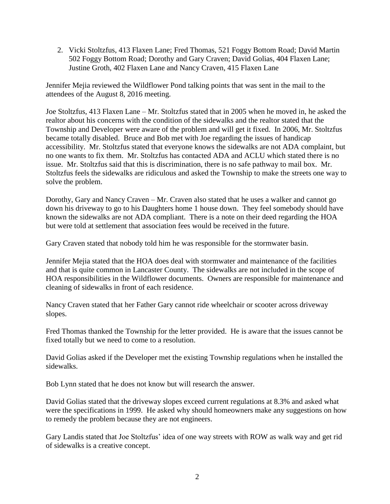2. Vicki Stoltzfus, 413 Flaxen Lane; Fred Thomas, 521 Foggy Bottom Road; David Martin 502 Foggy Bottom Road; Dorothy and Gary Craven; David Golias, 404 Flaxen Lane; Justine Groth, 402 Flaxen Lane and Nancy Craven, 415 Flaxen Lane

Jennifer Mejia reviewed the Wildflower Pond talking points that was sent in the mail to the attendees of the August 8, 2016 meeting.

Joe Stoltzfus, 413 Flaxen Lane – Mr. Stoltzfus stated that in 2005 when he moved in, he asked the realtor about his concerns with the condition of the sidewalks and the realtor stated that the Township and Developer were aware of the problem and will get it fixed. In 2006, Mr. Stoltzfus became totally disabled. Bruce and Bob met with Joe regarding the issues of handicap accessibility. Mr. Stoltzfus stated that everyone knows the sidewalks are not ADA complaint, but no one wants to fix them. Mr. Stoltzfus has contacted ADA and ACLU which stated there is no issue. Mr. Stoltzfus said that this is discrimination, there is no safe pathway to mail box. Mr. Stoltzfus feels the sidewalks are ridiculous and asked the Township to make the streets one way to solve the problem.

Dorothy, Gary and Nancy Craven – Mr. Craven also stated that he uses a walker and cannot go down his driveway to go to his Daughters home 1 house down. They feel somebody should have known the sidewalks are not ADA compliant. There is a note on their deed regarding the HOA but were told at settlement that association fees would be received in the future.

Gary Craven stated that nobody told him he was responsible for the stormwater basin.

Jennifer Mejia stated that the HOA does deal with stormwater and maintenance of the facilities and that is quite common in Lancaster County. The sidewalks are not included in the scope of HOA responsibilities in the Wildflower documents. Owners are responsible for maintenance and cleaning of sidewalks in front of each residence.

Nancy Craven stated that her Father Gary cannot ride wheelchair or scooter across driveway slopes.

Fred Thomas thanked the Township for the letter provided. He is aware that the issues cannot be fixed totally but we need to come to a resolution.

David Golias asked if the Developer met the existing Township regulations when he installed the sidewalks.

Bob Lynn stated that he does not know but will research the answer.

David Golias stated that the driveway slopes exceed current regulations at 8.3% and asked what were the specifications in 1999. He asked why should homeowners make any suggestions on how to remedy the problem because they are not engineers.

Gary Landis stated that Joe Stoltzfus' idea of one way streets with ROW as walk way and get rid of sidewalks is a creative concept.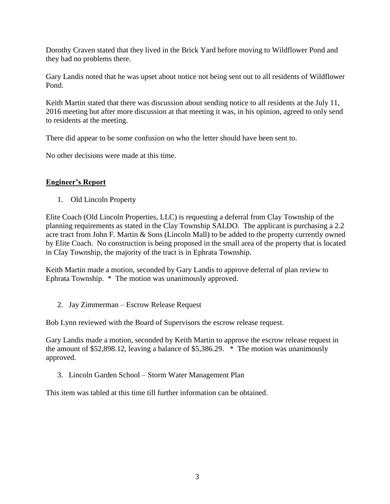Dorothy Craven stated that they lived in the Brick Yard before moving to Wildflower Pond and they had no problems there.

Gary Landis noted that he was upset about notice not being sent out to all residents of Wildflower Pond.

Keith Martin stated that there was discussion about sending notice to all residents at the July 11, 2016 meeting but after more discussion at that meeting it was, in his opinion, agreed to only send to residents at the meeting.

There did appear to be some confusion on who the letter should have been sent to.

No other decisions were made at this time.

# **Engineer's Report**

1. Old Lincoln Property

Elite Coach (Old Lincoln Properties, LLC) is requesting a deferral from Clay Township of the planning requirements as stated in the Clay Township SALDO. The applicant is purchasing a 2.2 acre tract from John F. Martin & Sons (Lincoln Mall) to be added to the property currently owned by Elite Coach. No construction is being proposed in the small area of the property that is located in Clay Township, the majority of the tract is in Ephrata Township.

Keith Martin made a motion, seconded by Gary Landis to approve deferral of plan review to Ephrata Township. \* The motion was unanimously approved.

2. Jay Zimmerman – Escrow Release Request

Bob Lynn reviewed with the Board of Supervisors the escrow release request.

Gary Landis made a motion, seconded by Keith Martin to approve the escrow release request in the amount of \$52,898.12, leaving a balance of \$5,386.29. \* The motion was unanimously approved.

3. Lincoln Garden School – Storm Water Management Plan

This item was tabled at this time till further information can be obtained.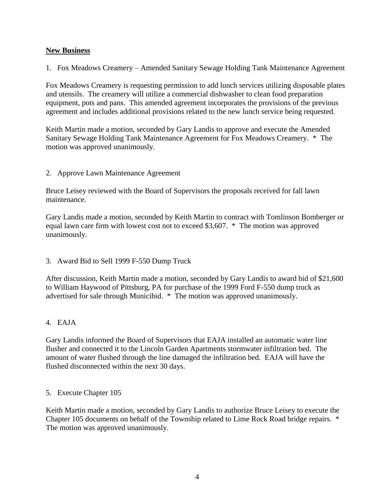# **New Business**

1. Fox Meadows Creamery – Amended Sanitary Sewage Holding Tank Maintenance Agreement

Fox Meadows Creamery is requesting permission to add lunch services utilizing disposable plates and utensils. The creamery will utilize a commercial dishwasher to clean food preparation equipment, pots and pans. This amended agreement incorporates the provisions of the previous agreement and includes additional provisions related to the new lunch service being requested.

Keith Martin made a motion, seconded by Gary Landis to approve and execute the Amended Sanitary Sewage Holding Tank Maintenance Agreement for Fox Meadows Creamery. \* The motion was approved unanimously.

# 2. Approve Lawn Maintenance Agreement

Bruce Leisey reviewed with the Board of Supervisors the proposals received for fall lawn maintenance.

Gary Landis made a motion, seconded by Keith Martin to contract with Tomlinson Bomberger or equal lawn care firm with lowest cost not to exceed \$3,607. \* The motion was approved unanimously.

## 3. Award Bid to Sell 1999 F-550 Dump Truck

After discussion, Keith Martin made a motion, seconded by Gary Landis to award bid of \$21,600 to William Haywood of Pittsburg, PA for purchase of the 1999 Ford F-550 dump truck as advertised for sale through Municibid. \* The motion was approved unanimously.

# 4. EAJA

Gary Landis informed the Board of Supervisors that EAJA installed an automatic water line flusher and connected it to the Lincoln Garden Apartments stormwater infiltration bed. The amount of water flushed through the line damaged the infiltration bed. EAJA will have the flushed disconnected within the next 30 days.

## 5. Execute Chapter 105

Keith Martin made a motion, seconded by Gary Landis to authorize Bruce Leisey to execute the Chapter 105 documents on behalf of the Township related to Lime Rock Road bridge repairs. \* The motion was approved unanimously.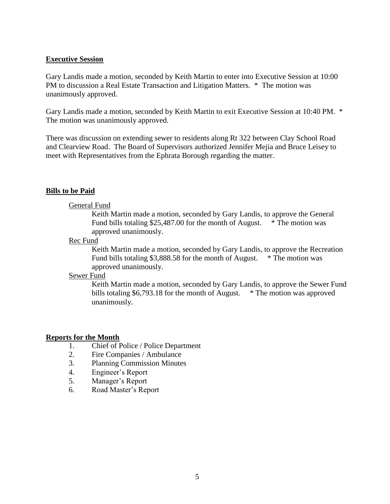#### **Executive Session**

Gary Landis made a motion, seconded by Keith Martin to enter into Executive Session at 10:00 PM to discussion a Real Estate Transaction and Litigation Matters. \* The motion was unanimously approved.

Gary Landis made a motion, seconded by Keith Martin to exit Executive Session at 10:40 PM. \* The motion was unanimously approved.

There was discussion on extending sewer to residents along Rt 322 between Clay School Road and Clearview Road. The Board of Supervisors authorized Jennifer Mejia and Bruce Leisey to meet with Representatives from the Ephrata Borough regarding the matter.

## **Bills to be Paid**

#### General Fund

Keith Martin made a motion, seconded by Gary Landis, to approve the General Fund bills totaling \$25,487.00 for the month of August. \* The motion was approved unanimously.

#### Rec Fund

Keith Martin made a motion, seconded by Gary Landis, to approve the Recreation Fund bills totaling \$3,888.58 for the month of August. \* The motion was approved unanimously.

#### Sewer Fund

Keith Martin made a motion, seconded by Gary Landis, to approve the Sewer Fund bills totaling \$6,793.18 for the month of August. \* The motion was approved unanimously.

## **Reports for the Month**

- 1. Chief of Police / Police Department
- 2. Fire Companies / Ambulance
- 3. Planning Commission Minutes
- 4. Engineer's Report
- 5. Manager's Report
- 6. Road Master's Report